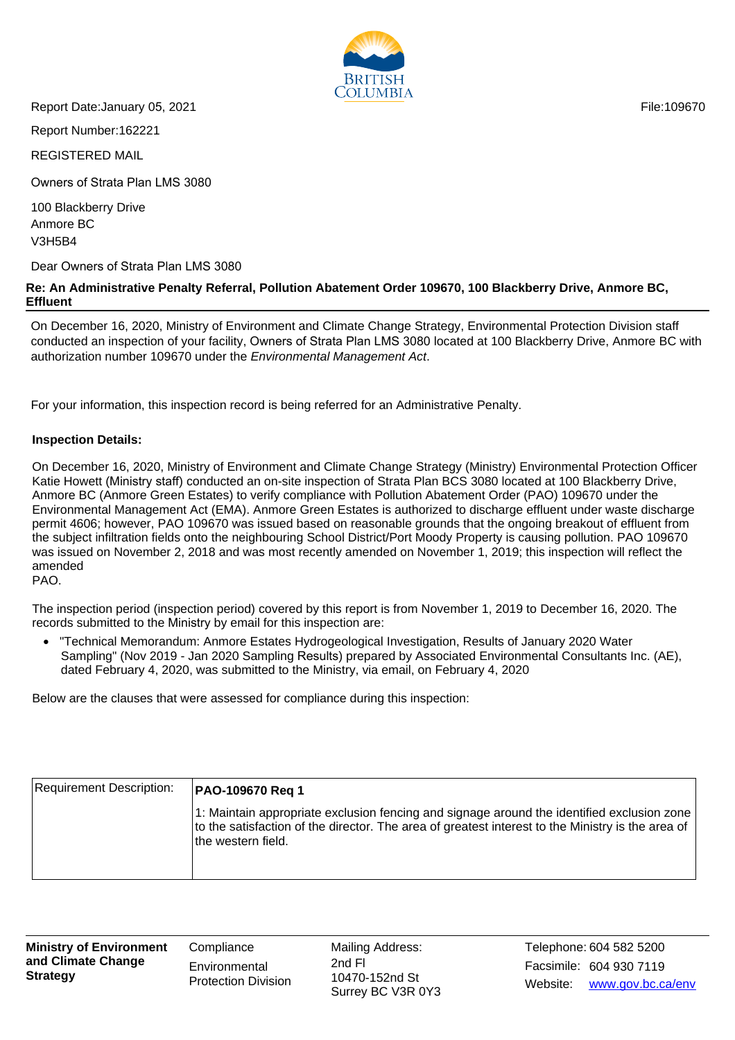

Report Date:January 05, 2021 **File:109670** File:109670

Report Number:162221

REGISTERED MAIL

Owners of Strata Plan LMS 3080

100 Blackberry Drive Anmore BC V3H5B4

Dear Owners of Strata Plan LMS 3080

## **Re: An Administrative Penalty Referral, Pollution Abatement Order 109670, 100 Blackberry Drive, Anmore BC, Effluent**

On December 16, 2020, Ministry of Environment and Climate Change Strategy, Environmental Protection Division staff conducted an inspection of your facility, Owners of Strata Plan LMS 3080 located at 100 Blackberry Drive, Anmore BC with authorization number 109670 under the Environmental Management Act.

For your information, this inspection record is being referred for an Administrative Penalty.

## **Inspection Details:**

On December 16, 2020, Ministry of Environment and Climate Change Strategy (Ministry) Environmental Protection Officer Katie Howett (Ministry staff) conducted an on-site inspection of Strata Plan BCS 3080 located at 100 Blackberry Drive, Anmore BC (Anmore Green Estates) to verify compliance with Pollution Abatement Order (PAO) 109670 under the Environmental Management Act (EMA). Anmore Green Estates is authorized to discharge effluent under waste discharge permit 4606; however, PAO 109670 was issued based on reasonable grounds that the ongoing breakout of effluent from the subject infiltration fields onto the neighbouring School District/Port Moody Property is causing pollution. PAO 109670 was issued on November 2, 2018 and was most recently amended on November 1, 2019; this inspection will reflect the amended PAO.

The inspection period (inspection period) covered by this report is from November 1, 2019 to December 16, 2020. The records submitted to the Ministry by email for this inspection are:

• "Technical Memorandum: Anmore Estates Hydrogeological Investigation, Results of January 2020 Water Sampling" (Nov 2019 - Jan 2020 Sampling Results) prepared by Associated Environmental Consultants Inc. (AE), dated February 4, 2020, was submitted to the Ministry, via email, on February 4, 2020

Below are the clauses that were assessed for compliance during this inspection:

| Requirement Description: | <b>PAO-109670 Reg 1</b>                                                                                                                                                                                               |
|--------------------------|-----------------------------------------------------------------------------------------------------------------------------------------------------------------------------------------------------------------------|
|                          | 1: Maintain appropriate exclusion fencing and signage around the identified exclusion zone<br>to the satisfaction of the director. The area of greatest interest to the Ministry is the area of<br>the western field. |

**Ministry of Environment and Climate Change Strategy**

**Compliance Environmental** Protection Division Mailing Address: 10470-152nd St Surrey BC V3R 0Y3

Facsimile: 604 930 7119 2nd Fl Website: www.gov.bc.ca/env Telephone: 604 582 5200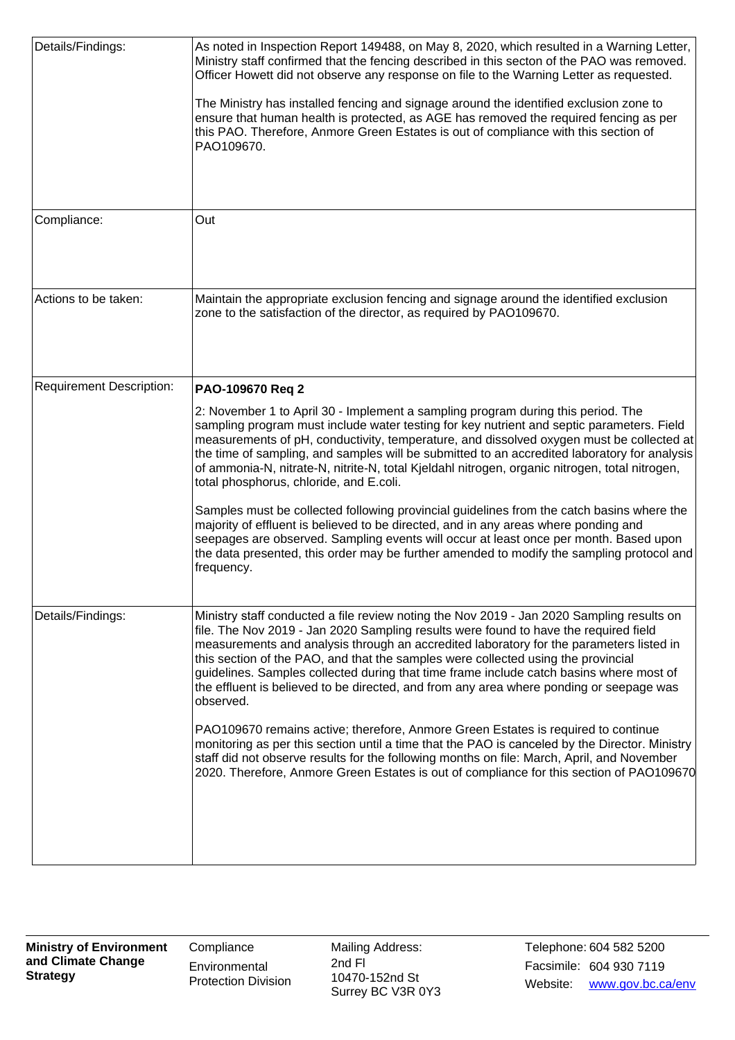| Details/Findings:               | As noted in Inspection Report 149488, on May 8, 2020, which resulted in a Warning Letter,<br>Ministry staff confirmed that the fencing described in this secton of the PAO was removed.<br>Officer Howett did not observe any response on file to the Warning Letter as requested.<br>The Ministry has installed fencing and signage around the identified exclusion zone to<br>ensure that human health is protected, as AGE has removed the required fencing as per<br>this PAO. Therefore, Anmore Green Estates is out of compliance with this section of<br>PAO109670.                                                                                                                                                                                                                                                                                                                                                                            |
|---------------------------------|-------------------------------------------------------------------------------------------------------------------------------------------------------------------------------------------------------------------------------------------------------------------------------------------------------------------------------------------------------------------------------------------------------------------------------------------------------------------------------------------------------------------------------------------------------------------------------------------------------------------------------------------------------------------------------------------------------------------------------------------------------------------------------------------------------------------------------------------------------------------------------------------------------------------------------------------------------|
| Compliance:                     | Out                                                                                                                                                                                                                                                                                                                                                                                                                                                                                                                                                                                                                                                                                                                                                                                                                                                                                                                                                   |
| Actions to be taken:            | Maintain the appropriate exclusion fencing and signage around the identified exclusion<br>zone to the satisfaction of the director, as required by PAO109670.                                                                                                                                                                                                                                                                                                                                                                                                                                                                                                                                                                                                                                                                                                                                                                                         |
| <b>Requirement Description:</b> | PAO-109670 Req 2<br>2: November 1 to April 30 - Implement a sampling program during this period. The<br>sampling program must include water testing for key nutrient and septic parameters. Field<br>measurements of pH, conductivity, temperature, and dissolved oxygen must be collected at<br>the time of sampling, and samples will be submitted to an accredited laboratory for analysis<br>of ammonia-N, nitrate-N, nitrite-N, total Kjeldahl nitrogen, organic nitrogen, total nitrogen,<br>total phosphorus, chloride, and E.coli.<br>Samples must be collected following provincial guidelines from the catch basins where the<br>majority of effluent is believed to be directed, and in any areas where ponding and<br>seepages are observed. Sampling events will occur at least once per month. Based upon<br>the data presented, this order may be further amended to modify the sampling protocol and<br>frequency.                    |
| Details/Findings:               | Ministry staff conducted a file review noting the Nov 2019 - Jan 2020 Sampling results on<br>file. The Nov 2019 - Jan 2020 Sampling results were found to have the required field<br>measurements and analysis through an accredited laboratory for the parameters listed in<br>this section of the PAO, and that the samples were collected using the provincial<br>guidelines. Samples collected during that time frame include catch basins where most of<br>the effluent is believed to be directed, and from any area where ponding or seepage was<br>observed.<br>PAO109670 remains active; therefore, Anmore Green Estates is required to continue<br>monitoring as per this section until a time that the PAO is canceled by the Director. Ministry<br>staff did not observe results for the following months on file: March, April, and November<br>2020. Therefore, Anmore Green Estates is out of compliance for this section of PAO109670 |

**Compliance Environmental** Protection Division Mailing Address: 10470-152nd St Surrey BC V3R 0Y3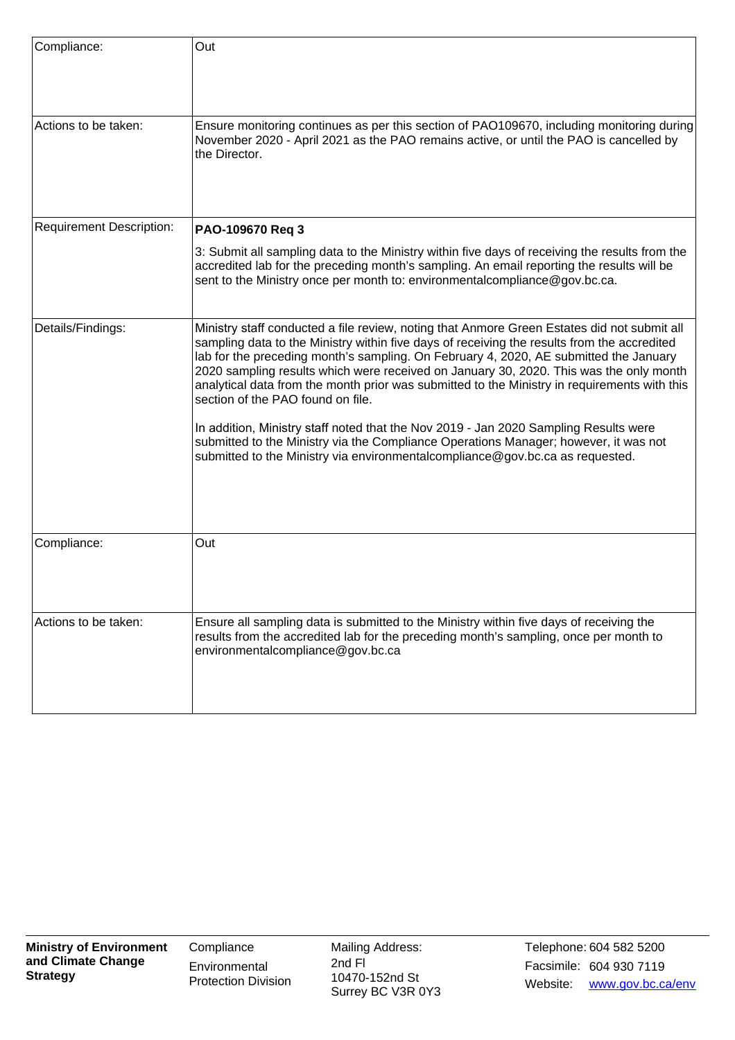| Compliance:                     | Out                                                                                                                                                                                                                                                                                                                                                                                                                                                                                                                                                                                                                                                                                                                                                                                 |
|---------------------------------|-------------------------------------------------------------------------------------------------------------------------------------------------------------------------------------------------------------------------------------------------------------------------------------------------------------------------------------------------------------------------------------------------------------------------------------------------------------------------------------------------------------------------------------------------------------------------------------------------------------------------------------------------------------------------------------------------------------------------------------------------------------------------------------|
| Actions to be taken:            | Ensure monitoring continues as per this section of PAO109670, including monitoring during<br>November 2020 - April 2021 as the PAO remains active, or until the PAO is cancelled by<br>the Director.                                                                                                                                                                                                                                                                                                                                                                                                                                                                                                                                                                                |
| <b>Requirement Description:</b> | PAO-109670 Req 3                                                                                                                                                                                                                                                                                                                                                                                                                                                                                                                                                                                                                                                                                                                                                                    |
|                                 | 3: Submit all sampling data to the Ministry within five days of receiving the results from the<br>accredited lab for the preceding month's sampling. An email reporting the results will be<br>sent to the Ministry once per month to: environmentalcompliance@gov.bc.ca.                                                                                                                                                                                                                                                                                                                                                                                                                                                                                                           |
| Details/Findings:               | Ministry staff conducted a file review, noting that Anmore Green Estates did not submit all<br>sampling data to the Ministry within five days of receiving the results from the accredited<br>lab for the preceding month's sampling. On February 4, 2020, AE submitted the January<br>2020 sampling results which were received on January 30, 2020. This was the only month<br>analytical data from the month prior was submitted to the Ministry in requirements with this<br>section of the PAO found on file.<br>In addition, Ministry staff noted that the Nov 2019 - Jan 2020 Sampling Results were<br>submitted to the Ministry via the Compliance Operations Manager; however, it was not<br>submitted to the Ministry via environmentalcompliance@gov.bc.ca as requested. |
| Compliance:                     | Out                                                                                                                                                                                                                                                                                                                                                                                                                                                                                                                                                                                                                                                                                                                                                                                 |
| Actions to be taken:            | Ensure all sampling data is submitted to the Ministry within five days of receiving the<br>results from the accredited lab for the preceding month's sampling, once per month to<br>environmentalcompliance@gov.bc.ca                                                                                                                                                                                                                                                                                                                                                                                                                                                                                                                                                               |

Mailing Address: 10470-152nd St Surrey BC V3R 0Y3